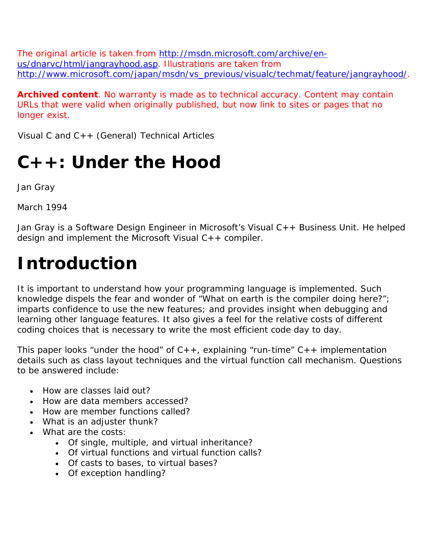The original article is taken from http://msdn.microsoft.com/archive/enus/dnarvc/html/jangrayhood.asp. Illustrations are taken from http://www.microsoft.com/japan/msdn/vs\_previous/visualc/techmat/feature/jangrayhood/.

**Archived content**. No warranty is made as to technical accuracy. Content may contain URLs that were valid when originally published, but now link to sites or pages that no longer exist.

Visual C and C++ (General) Technical Articles

# **C++: Under the Hood**

Jan Gray

March 1994

Jan Gray is a Software Design Engineer in Microsoft's Visual C++ Business Unit. He helped design and implement the Microsoft Visual C++ compiler.

# **Introduction**

It is important to understand how your programming language is implemented. Such knowledge dispels the fear and wonder of "What on earth is the compiler doing here?"; imparts confidence to use the new features; and provides insight when debugging and learning other language features. It also gives a feel for the relative costs of different coding choices that is necessary to write the most efficient code day to day.

This paper looks "under the hood" of  $C_{++}$ , explaining "run-time"  $C_{++}$  implementation details such as class layout techniques and the virtual function call mechanism. Questions to be answered include:

- How are classes laid out?
- How are data members accessed?
- How are member functions called?
- What is an adjuster thunk?
- What are the costs:
	- Of single, multiple, and virtual inheritance?
	- Of virtual functions and virtual function calls?
	- Of casts to bases, to virtual bases?
	- Of exception handling?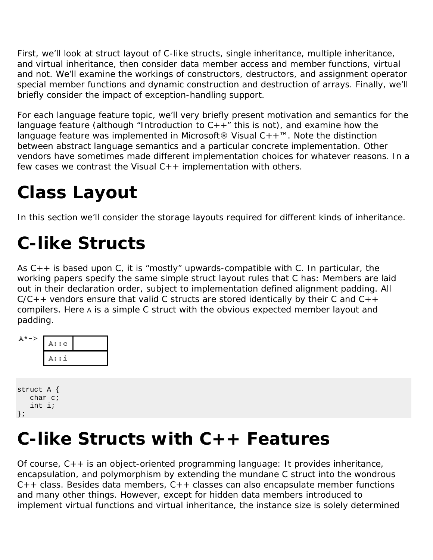First, we'll look at struct layout of C-like structs, single inheritance, multiple inheritance, and virtual inheritance, then consider data member access and member functions, virtual and not. We'll examine the workings of constructors, destructors, and assignment operator special member functions and dynamic construction and destruction of arrays. Finally, we'll briefly consider the impact of exception-handling support.

For each language feature topic, we'll very briefly present motivation and semantics for the language feature (although "Introduction to  $C++$ " this is not), and examine how the language feature was implemented in Microsoft<sup>®</sup> Visual  $C++<sup>TM</sup>$ . Note the distinction between abstract language semantics and a particular concrete implementation. Other vendors have sometimes made different implementation choices for whatever reasons. In a few cases we contrast the Visual  $C++$  implementation with others.

# **Class Layout**

In this section we'll consider the storage layouts required for different kinds of inheritance.

# **C-like Structs**

As  $C_{++}$  is based upon C, it is "mostly" upwards-compatible with C. In particular, the working papers specify the same simple struct layout rules that C has: Members are laid out in their declaration order, subject to implementation defined alignment padding. All  $C/C++$  vendors ensure that valid C structs are stored identically by their C and  $C++$ compilers. Here A is a simple C struct with the obvious expected member layout and padding.

| <b>A*-&gt;</b> | A: : c |  |
|----------------|--------|--|
|                | A::i   |  |

| struct A { |  |
|------------|--|
| char c;    |  |
| int i;     |  |
| $\}$ ;     |  |

#### **C-like Structs with C++ Features**

Of course, C++ is an object-oriented programming language: It provides inheritance, encapsulation, and polymorphism by extending the mundane C struct into the wondrous  $C++$  class. Besides data members,  $C++$  classes can also encapsulate member functions and many other things. However, except for hidden data members introduced to implement virtual functions and virtual inheritance, the instance size is solely determined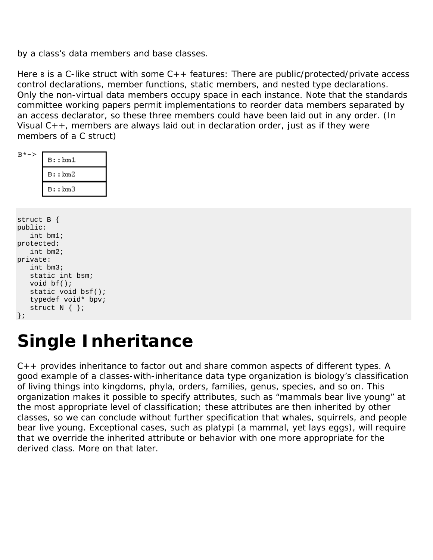by a class's data members and base classes.

Here  $B$  is a C-like struct with some  $C++$  features: There are public/protected/private access control declarations, member functions, static members, and nested type declarations. Only the non-virtual data members occupy space in each instance. Note that the standards committee working papers permit implementations to reorder data members separated by an access declarator, so these three members could have been laid out in any order. (In Visual  $C_{++}$ , members are always laid out in declaration order, just as if they were members of a C struct)

|--|--|--|

г

| B: :bm1  |
|----------|
| B: : bm2 |
| B::bm3   |

```
struct B { 
public: 
    int bm1; 
protected: 
    int bm2; 
private: 
    int bm3; 
    static int bsm; 
    void bf(); 
   static void bsf(); 
   typedef void* bpv; 
   struct N \{ \};
};
```
## **Single Inheritance**

C++ provides inheritance to factor out and share common aspects of different types. A good example of a classes-with-inheritance data type organization is biology's classification of living things into kingdoms, phyla, orders, families, genus, species, and so on. This organization makes it possible to specify attributes, such as "mammals bear live young" at the most appropriate level of classification; these attributes are then *inherited* by other classes, so we can conclude without further specification that whales, squirrels, and people bear live young. Exceptional cases, such as platypi (a mammal, yet lays eggs), will require that we *override* the inherited attribute or behavior with one more appropriate for the derived class. More on that later.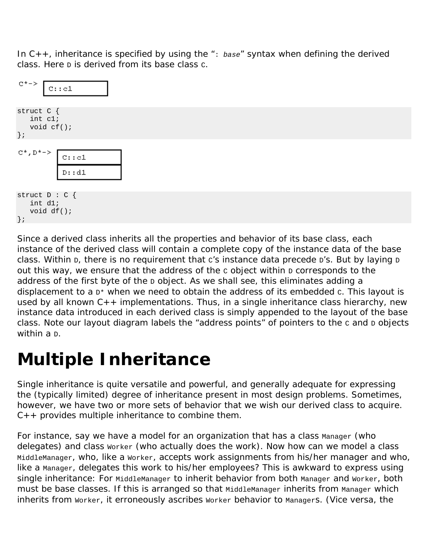In C++, inheritance is specified by using the ": *base*" syntax when defining the derived class. Here  $\overline{D}$  is derived from its base class  $\overline{C}$ .

| $C^+$ ->                                            | c::c1                             |
|-----------------------------------------------------|-----------------------------------|
| struct C {<br>int cl;<br>void $cf()$ ;<br>$\}$ ;    |                                   |
| $C^*$ , D $^*$ ->                                   | $\mathtt{C}:\mathtt{c1}$<br>D: d1 |
| struct $D : C$ {<br>int dl;<br>void df();<br>$\}$ ; |                                   |

Since a derived class inherits all the properties and behavior of its base class, each instance of the derived class will contain a complete copy of the instance data of the base class. Within  $D$ , there is no requirement that c's instance data precede  $D$ 's. But by laying  $D$ out this way, we ensure that the address of the  $c$  object within  $D$  corresponds to the address of the first byte of the  $D$  object. As we shall see, this eliminates adding a displacement to a  $D*$  when we need to obtain the address of its embedded  $c$ . This layout is used by all known C++ implementations. Thus, in a single inheritance class hierarchy, new instance data introduced in each derived class is simply appended to the layout of the base class. Note our layout diagram labels the "address points" of pointers to the c and D objects within a <sub>D</sub>.

## **Multiple Inheritance**

Single inheritance is quite versatile and powerful, and generally adequate for expressing the (typically limited) degree of inheritance present in most design problems. Sometimes, however, we have two or more sets of behavior that we wish our derived class to acquire.  $C_{++}$  provides multiple inheritance to combine them.

For instance, say we have a model for an organization that has a class Manager (who delegates) and class worker (who actually does the work). Now how can we model a class MiddleManager, who, like a Worker, accepts work assignments from his/her manager and who, like a Manager, delegates this work to his/her employees? This is awkward to express using single inheritance: For MiddleManager to inherit behavior from both Manager and Worker, both must be base classes. If this is arranged so that MiddleManager inherits from Manager which inherits from Worker, it erroneously ascribes Worker behavior to Managers. (Vice versa, the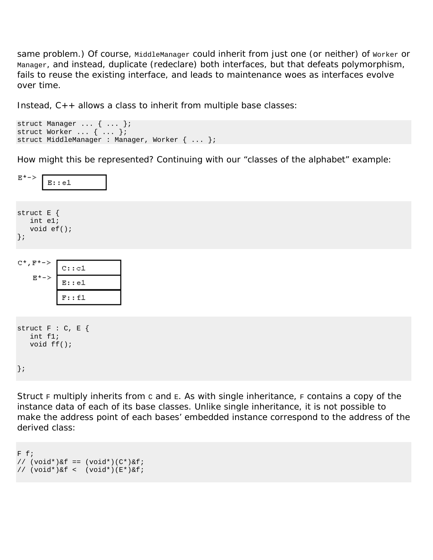same problem.) Of course, MiddleManager could inherit from just one (or neither) of Worker or Manager, and instead, duplicate (redeclare) both interfaces, but that defeats polymorphism, fails to reuse the existing interface, and leads to maintenance woes as interfaces evolve over time.

Instead, C++ allows a class to inherit from multiple base classes:

```
struct Manager ... { ... }; 
struct Worker ... { ... }; 
struct MiddleManager : Manager, Worker { ... };
```
How might this be represented? Continuing with our "classes of the alphabet" example:

| E*->                                             | E: : e1                                                        |  |  |
|--------------------------------------------------|----------------------------------------------------------------|--|--|
| struct E {<br>int el;<br>void $ef()$ ;<br>$\}$ ; |                                                                |  |  |
| C*, F*-><br>E*->                                 | $\mathbf{C}$ : : $\mathtt{c1}$<br>$\overline{E}$ ::e1<br>F: f1 |  |  |
|                                                  |                                                                |  |  |
| struct $F : C, E$ {<br>int fl;<br>void ff();     |                                                                |  |  |
| $\}$ ;                                           |                                                                |  |  |

Struct  $F$  multiply inherits from c and  $E$ . As with single inheritance,  $F$  contains a copy of the instance data of each of its base classes. Unlike single inheritance, it is not possible to make the address point of each bases' embedded instance correspond to the address of the derived class:

```
F f; 
// (void*)&f == (void*)(C*)&f;// (void*)&f < (void*)(E*)&f;
```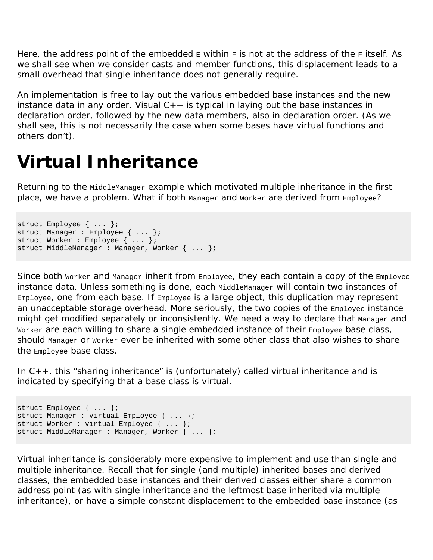Here, the address point of the embedded  $E$  within  $F$  is not at the address of the  $F$  itself. As we shall see when we consider casts and member functions, this displacement leads to a small overhead that single inheritance does not generally require.

An implementation is free to lay out the various embedded base instances and the new instance data in any order. Visual  $C_{++}$  is typical in laying out the base instances in declaration order, followed by the new data members, also in declaration order. (As we shall see, this is not necessarily the case when some bases have virtual functions and others don't).

## **Virtual Inheritance**

Returning to the MiddleManager example which motivated multiple inheritance in the first place, we have a problem. What if both Manager and Worker are derived from Employee?

```
struct Employee { ... }; 
struct Manager : Employee { ... }; 
struct Worker : Employee { ... }; 
struct MiddleManager : Manager, Worker { ... };
```
Since both Worker and Manager inherit from Employee, they each contain a copy of the Employee instance data. Unless something is done, each MiddleManager will contain two instances of Employee, one from each base. If Employee is a large object, this duplication may represent an unacceptable storage overhead. More seriously, the two copies of the Employee instance might get modified separately or inconsistently. We need a way to declare that Manager and Worker are each willing to share a single embedded instance of their Employee base class, should Manager or Worker ever be inherited with some other class that also wishes to share the Employee base class.

In  $C_{++}$ , this "sharing inheritance" is (unfortunately) called virtual inheritance and is indicated by specifying that a base class is virtual.

```
struct Employee { ... }; 
struct Manager : virtual Employee { ... }; 
struct Worker : virtual Employee { ... }; 
struct MiddleManager : Manager, Worker { ... };
```
Virtual inheritance is considerably more expensive to implement and use than single and multiple inheritance. Recall that for single (and multiple) inherited bases and derived classes, the embedded base instances and their derived classes either share a common address point (as with single inheritance and the leftmost base inherited via multiple inheritance), or have a simple constant displacement to the embedded base instance (as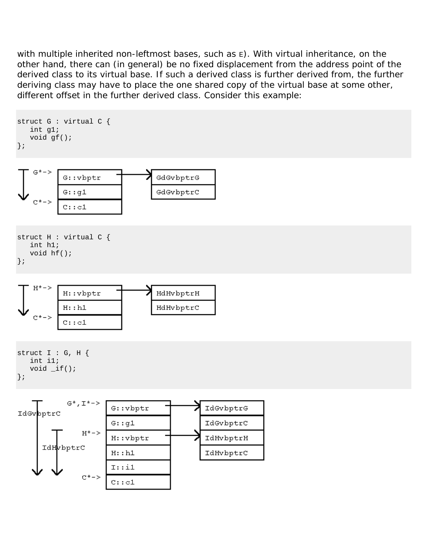with multiple inherited non-leftmost bases, such as  $E$ ). With virtual inheritance, on the other hand, there can (in general) be no fixed displacement from the address point of the derived class to its virtual base. If such a derived class is further derived from, the further deriving class may have to place the one shared copy of the virtual base at some other, different offset in the further derived class. Consider this example:

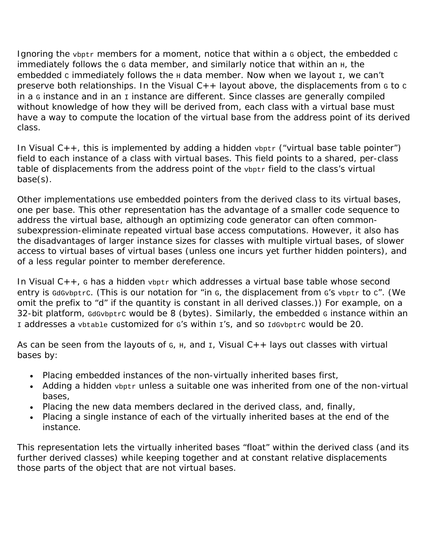Ignoring the vbptr members for a moment, notice that within a G object, the embedded c  $immediately$  follows the  $G$  data member, and similarly notice that within an  $H$ , the embedded c immediately follows the  $H$  data member. Now when we layout  $I$ , we can't preserve both relationships. In the Visual  $C_{++}$  layout above, the displacements from  $G$  to  $C$ in a  $\sigma$  instance and in an  $\sigma$  instance are different. Since classes are generally compiled without knowledge of how they will be derived from, each class with a virtual base must have a way to compute the location of the virtual base from the address point of its derived class.

In Visual  $C_{++}$ , this is implemented by adding a hidden  $v_{\text{bptr}}$  ("virtual base table pointer") field to each instance of a class with virtual bases. This field points to a shared, per-class table of displacements from the address point of the vbptr field to the class's virtual base(s).

Other implementations use embedded pointers from the derived class to its virtual bases, one per base. This other representation has the advantage of a smaller code sequence to address the virtual base, although an optimizing code generator can often commonsubexpression-eliminate repeated virtual base access computations. However, it also has the disadvantages of larger instance sizes for classes with multiple virtual bases, of slower access to virtual bases of virtual bases (unless one incurs yet further hidden pointers), and of a less regular pointer to member dereference.

In Visual  $C_{++}$ , G has a hidden  $v_{\text{bptr}}$  which addresses a virtual base table whose second entry is GdGvbptrc. (This is our notation for "in G, the displacement from G's vbptr to c". (We omit the prefix to "d" if the quantity is constant in all derived classes.)) For example, on a 32-bit platform, GdGvbptrC would be 8 (bytes). Similarly, the embedded G instance within an I addresses a vbtable customized for G's within I's, and so IdGvbptrC would be 20.

As can be seen from the layouts of  $G$ ,  $H$ , and  $I$ , Visual  $C++$  lays out classes with virtual bases by:

- Placing embedded instances of the non-virtually inherited bases first,
- Adding a hidden vbptr unless a suitable one was inherited from one of the non-virtual bases,
- Placing the new data members declared in the derived class, and, finally,
- Placing a single instance of each of the virtually inherited bases at the end of the instance.

This representation lets the virtually inherited bases "float" within the derived class (and its further derived classes) while keeping together and at constant relative displacements those parts of the object that are not virtual bases.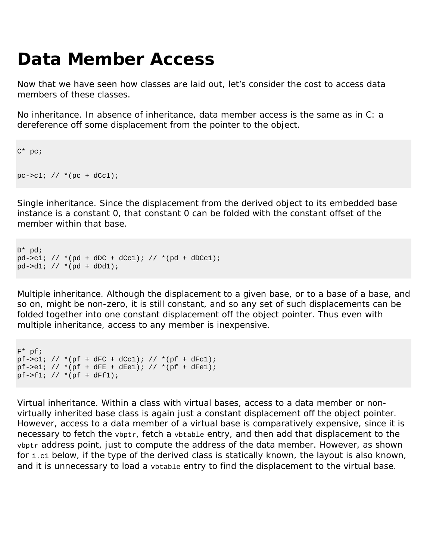# **Data Member Access**

Now that we have seen how classes are laid out, let's consider the cost to access data members of these classes.

*No inheritance.* In absence of inheritance, data member access is the same as in C: a dereference off some displacement from the pointer to the object.

```
C* pc; 
pc->c1; // *(pc + dCc1);
```
*Single inheritance.* Since the displacement from the derived object to its embedded base instance is a constant 0, that constant 0 can be folded with the constant offset of the member within that base.

```
D^* pd;
pd->c1; // *(pd + dDC + dCc1); // *(pd + dDCc1);
pd - > d1; // *(pd + dDd1);
```
*Multiple inheritance.* Although the displacement to a given base, or to a base of a base, and so on, might be non-zero, it is still constant, and so any set of such displacements can be folded together into one constant displacement off the object pointer. Thus even with multiple inheritance, access to any member is inexpensive.

```
F^* pf;
pf->c1; // *(pf + dFC + dCc1); // *(pf + dFc1);
pf->el; // *(pf + dFE + dEel); // *(pf + dFel);pf->f1; // *(pf + dFf1);
```
*Virtual inheritance.* Within a class with virtual bases, access to a data member or nonvirtually inherited base class is again just a constant displacement off the object pointer. However, access to a data member of a virtual base is comparatively expensive, since it is necessary to fetch the vbptr, fetch a vbtable entry, and then add that displacement to the vbptr address point, just to compute the address of the data member. However, as shown for  $i.e.1$  below, if the type of the derived class is statically known, the layout is also known, and it is unnecessary to load a vbtable entry to find the displacement to the virtual base.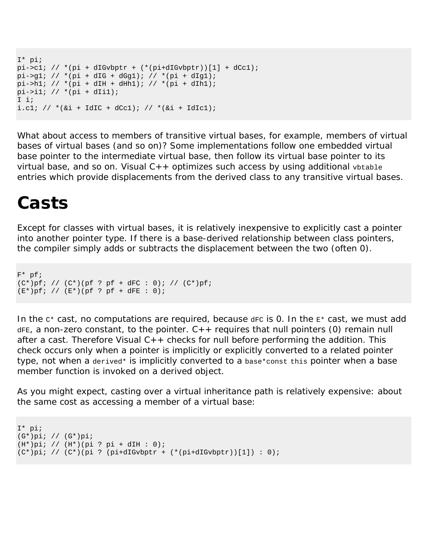```
I* pi; 
pi->c1; // *(pi + dIGvbytr + (*pi + dIGvbytr))[1] + dCc1);pi->g1; // * (pi + dIG + dGg1); // * (pi + dIg1);pi->h1; // *(pi + dIH + dHh1); // *(pi + dIh1);pi->i1; // *(pi + dIi1); 
I i; 
i.cl; // *(\&i + IdIC + dCc1); // *(\&i + IdIC1);
```
What about access to members of transitive virtual bases, for example, members of virtual bases of virtual bases (and so on)? Some implementations follow one embedded virtual base pointer to the intermediate virtual base, then follow its virtual base pointer to its virtual base, and so on. Visual  $C++$  optimizes such access by using additional vbtable entries which provide displacements from the derived class to any transitive virtual bases.

#### **Casts**

Except for classes with virtual bases, it is relatively inexpensive to explicitly cast a pointer into another pointer type. If there is a base-derived relationship between class pointers, the compiler simply adds or subtracts the displacement between the two (often 0).

F\* pf;  $(C^*)pf;$  //  $(C^*) (pf; pf + dFC : 0);$  //  $(C^*)pf;$  $(E^*)pf;$  //  $(E^*) (pf;$  pf + dFE : 0);

In the  $c^*$  cast, no computations are required, because  $d_{FC}$  is 0. In the  $E^*$  cast, we must add  $dFE$ , a non-zero constant, to the pointer.  $C++$  requires that null pointers (0) remain null after a cast. Therefore Visual  $C++$  checks for null before performing the addition. This check occurs only when a pointer is implicitly or explicitly converted to a related pointer type, not when a derived\* is implicitly converted to a base\*const this pointer when a base member function is invoked on a derived object.

As you might expect, casting over a virtual inheritance path is relatively expensive: about the same cost as accessing a member of a virtual base:

```
I* pi; 
(G*)pi; // (G*)pi; 
(H^*)pi; // (H^*) (pi ? pi + dIH : 0);
(C^*)pi; // (C^*)(pi ? (pi+dIGvbptr + (*(pi+dIGvbptr))[1]) : 0);
```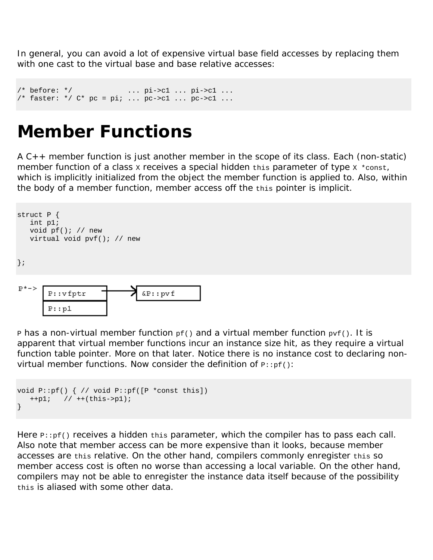In general, you can avoid a lot of expensive virtual base field accesses by replacing them with one cast to the virtual base and base relative accesses:

```
/* before: */ ... pi->c1 ... pi->c1 ...
/* faster: */ C* pc = pi; ... pc->c1 ... pc->c1 ...
```
#### **Member Functions**

A C++ member function is just another member in the scope of its class. Each (non-static) member function of a class x receives a special hidden this parameter of type  $x * const$ , which is implicitly initialized from the object the member function is applied to. Also, within the body of a member function, member access off the this pointer is implicit.



**P** has a non-virtual member function  $pf()$  and a virtual member function  $pr()$ . It is apparent that virtual member functions incur an instance size hit, as they require a virtual function table pointer. More on that later. Notice there is no instance cost to declaring nonvirtual member functions. Now consider the definition of  $p:pf()$ :

```
void P::pf() { // void P::pf([P *const this]) 
    ++p1; // ++(this->p1); 
}
```
Here  $P:pf()$  receives a hidden this parameter, which the compiler has to pass each call. Also note that member access can be more expensive than it looks, because member accesses are this relative. On the other hand, compilers commonly enregister this so member access cost is often no worse than accessing a local variable. On the other hand, compilers may not be able to enregister the instance data itself because of the possibility this is aliased with some other data.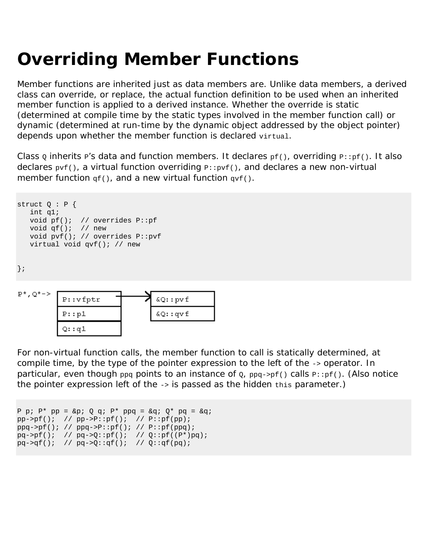# **Overriding Member Functions**

Member functions are inherited just as data members are. Unlike data members, a derived class can override, or replace, the actual function definition to be used when an inherited member function is applied to a derived instance. Whether the override is static (determined at compile time by the static types involved in the member function call) or dynamic (determined at run-time by the dynamic object addressed by the object pointer) depends upon whether the member function is declared virtual.

Class  $\varrho$  inherits  $P'$ s data and function members. It declares  $p f()$ , overriding  $P': p f()$ . It also declares  $pvf()$ , a virtual function overriding  $p:pyf()$ , and declares a new non-virtual member function  $qf()$ , and a new virtual function  $qvf()$ .

```
struct Q : P { 
   int q1; 
   void pf(); // overrides P::pf 
   void qf(); // new 
   void pvf(); // overrides P::pvf 
    virtual void qvf(); // new 
};
```


For non-virtual function calls, the member function to call is statically determined, at compile time, by the type of the pointer expression to the left of the -> operator. In particular, even though  $ppq$  points to an instance of  $q$ ,  $ppq\rightarrow pf()$  calls  $p\rightarrow pf()$ . (Also notice the pointer expression left of the -> is passed as the hidden this parameter.)

```
P p; P^* pp = &p; Q q; P^* ppq = &q; Q^* pq = &q;
pp->pf(); // pp->P::pf(); // P::pf(pp);
ppq->pf(); // ppq->P::pf(); // P::pf(ppq);
pq \rightarrow pf(); // pq \rightarrow Q::pf(); // Q::pf((P*)pq);
pq \rightarrow qq( ); // pq \rightarrow Q: qf(); // Q: qf(pq);
```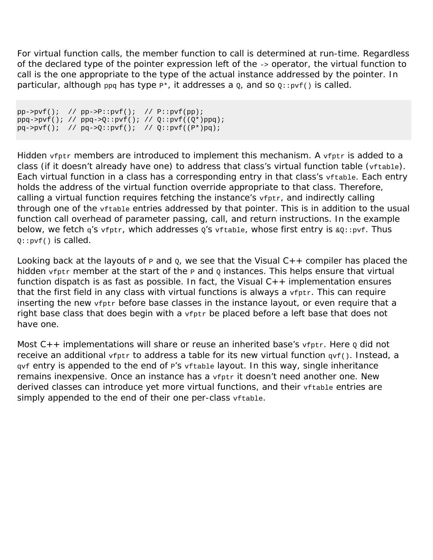For virtual function calls, the member function to call is determined at run-time. Regardless of the declared type of the pointer expression left of the -> operator, the virtual function to call is the one appropriate to the type of the actual instance addressed by the pointer. In particular, although  $ppq$  has type  $p^*$ , it addresses a  $q$ , and so  $q:ppf()$  is called.

```
\texttt{pp->pvf()}; \quad \texttt{\textit{// pp->P::pvf(); // P::pvf(pp)};}ppq->pvf( )\, ;\  \  // \  \, ppq->Q: :pvf( )\, ;\  \  // \  \, Q: :pvf( (Q^{*})ppq)\, ;pq \rightarrow pvf(); // pq \rightarrow Q::pvf(); // Q::pvf((P*)pq);
```
Hidden vfptr members are introduced to implement this mechanism. A vfptr is added to a class (if it doesn't already have one) to address that class's virtual function table (vftable). Each virtual function in a class has a corresponding entry in that class's vftable. Each entry holds the address of the virtual function override appropriate to that class. Therefore, calling a virtual function requires fetching the instance's vfptr, and indirectly calling through one of the vftable entries addressed by that pointer. This is in addition to the usual function call overhead of parameter passing, call, and return instructions. In the example below, we fetch q's vfptr, which addresses  $Q's$  vftable, whose first entry is  $\&Q: : pvf$ . Thus  $0:$ : $pvf()$  is called.

Looking back at the layouts of  $P$  and  $Q$ , we see that the Visual  $C++$  compiler has placed the hidden  $v$ fptr member at the start of the  $P$  and  $Q$  instances. This helps ensure that virtual function dispatch is as fast as possible. In fact, the Visual C++ implementation *ensures* that the first field in any class with virtual functions is always a  $\mathbf{v}_{\text{fptr}}$ . This can require inserting the new vfptr before base classes in the instance layout, or even require that a right base class that does begin with a  $v$ fptr be placed before a left base that does not have one.

Most  $C_{++}$  implementations will share or reuse an inherited base's  $v$ fptr. Here  $\varrho$  did not receive an additional  $\text{vfptr}$  to address a table for its new virtual function  $\text{qvf}()$ . Instead, a gyf entry is appended to the end of P's vftable layout. In this way, single inheritance remains inexpensive. Once an instance has a vfptr it doesn't need another one. New derived classes can introduce yet more virtual functions, and their vftable entries are simply appended to the end of their one per-class vftable.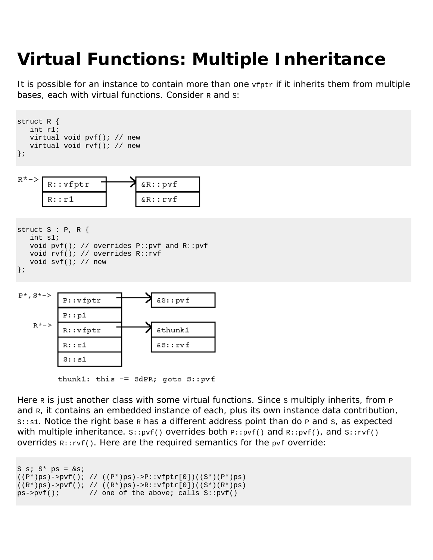# **Virtual Functions: Multiple Inheritance**

It is possible for an instance to contain more than one  $\mathbf{v}_{\text{fptr}}$  if it inherits them from multiple bases, each with virtual functions. Consider R and s:





```
struct S : P, R { 
   int s1; 
    void pvf(); // overrides P::pvf and R::pvf 
    void rvf(); // overrides R::rvf 
    void svf(); // new 
};
```


thunk1: this  $=$  SdPR; goto S::pvf

Here  $R$  is just another class with some virtual functions. Since s multiply inherits, from  $P$ and R, it contains an embedded instance of each, plus its own instance data contribution,  $s: s1.$  Notice the right base R has a different address point than do P and S, as expected with multiple inheritance.  $s::pvf()$  overrides both  $p::pvf()$  and  $R::pvf()$ , and  $s::rvf()$ overrides  $R:rvf()$ . Here are the required semantics for the  $pvf$  override:

```
S s; S* ps = \&si;
((P<sup>*</sup>)ps)->pvf(); // ((P<sup>*</sup>)ps)->P::vfptr[0])((S<sup>*</sup>)(P<sup>*</sup>)ps)
((R<sup>*</sup>)ps)->pvf(); // ((R<sup>*</sup>)ps)->R::vfptr[0])((S<sup>*</sup>)(R<sup>*</sup>)ps)
ps->pvf(); // one of the above; calls S::pvf()
```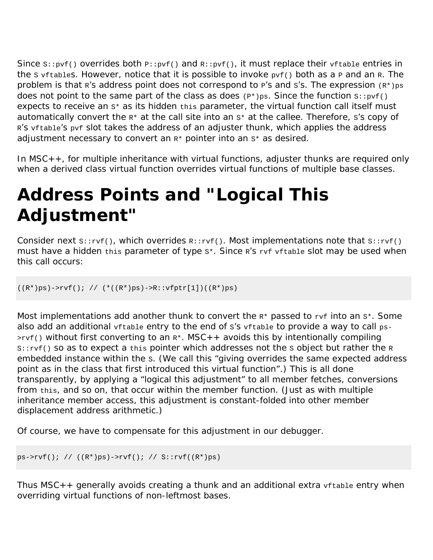Since  $s:pyf()$  overrides both  $p:pyf()$  and  $R:pyf()$ , it must replace their  $vftable$  entries in the s vftables. However, notice that it is possible to invoke  $pvf()$  both as a P and an R. The problem is that  $R$ 's address point does not correspond to  $P$ 's and s's. The expression  $(R*)_{PS}$ does not point to the same part of the class as does  $(P^*)$ ps. Since the function  $s:ppf()$ expects to receive an  $s*$  as its hidden  $t$ his parameter, the virtual function call itself must automatically convert the  $R*$  at the call site into an  $S*$  at the callee. Therefore,  $S'S$  copy of R'S vftable'S pvf slot takes the address of an adjuster thunk, which applies the address adjustment necessary to convert an  $R*$  pointer into an  $S*$  as desired.

In MSC++, for multiple inheritance with virtual functions, adjuster thunks are required only when a derived class virtual function overrides virtual functions of multiple base classes.

# **Address Points and "Logical This Adjustment"**

Consider next  $s::rvf()$ , which overrides  $R::rvf()$ . Most implementations note that  $s::rvf()$ must have a hidden this parameter of type s\*. Since R'S rvf vftable slot may be used when this call occurs:

 $((R<sup>*</sup>)ps)$ ->rvf $()$ ; //  $(*((R<sup>*</sup>)ps)$ ->R::vfptr[1])((R\*)ps)

Most implementations add another thunk to convert the  $R*$  passed to  $rvt$  into an  $s*.$  Some also add an additional vftable entry to the end of s's vftable to provide a way to call ps- $>rvf()$  without first converting to an  $R^*$ . MSC + + avoids this by intentionally compiling  $s:=rvf()$  so as to expect a this pointer which addresses not the s object but rather the R embedded instance within the s. (We call this "giving overrides the same expected address point as in the class that first introduced this virtual function".) This is all done transparently, by applying a "logical this adjustment" to all member fetches, conversions from this, and so on, that occur within the member function. (Just as with multiple inheritance member access, this adjustment is constant-folded into other member displacement address arithmetic.)

Of course, we have to compensate for this adjustment in our debugger.

```
ps->rvf(); // ((R*)ps)->rvf(); // S::rvf((R*)ps)
```
Thus  $MSC++$  generally avoids creating a thunk and an additional extra  $vftable$  entry when overriding virtual functions of non-leftmost bases.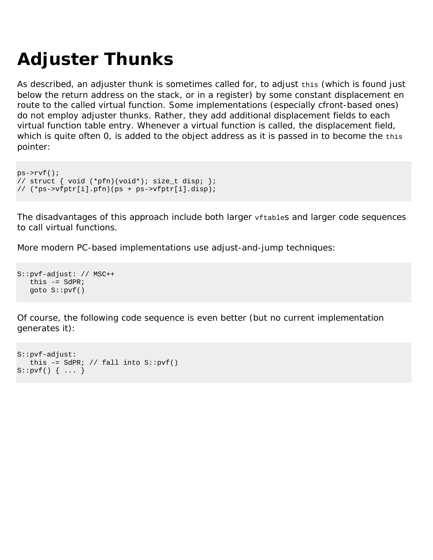# **Adjuster Thunks**

As described, an adjuster thunk is sometimes called for, to adjust this (which is found just below the return address on the stack, or in a register) by some constant displacement en route to the called virtual function. Some implementations (especially cfront-based ones) do not employ adjuster thunks. Rather, they add additional displacement fields to each virtual function table entry. Whenever a virtual function is called, the displacement field, which is quite often 0, is added to the object address as it is passed in to become the this pointer:

```
ps->rvf(); 
// struct { void (*pfn)(void*); size_t disp; }; 
// (*ps->vfptr[i].pfn)(ps + ps->vfptr[i].disp);
```
The disadvantages of this approach include both larger vftables and larger code sequences to call virtual functions.

More modern PC-based implementations use adjust-and-jump techniques:

```
S::pvf-adjust: // MSC++ 
  this - sdPR;
   goto S::pvf()
```
Of course, the following code sequence is even better (but no current implementation generates it):

```
S::pvf-adjust: 
   this -= SdPR; // fall into S:pyf()S::pvf() { ... }
```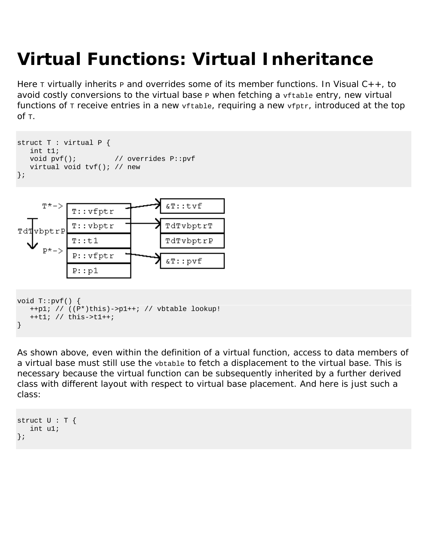# **Virtual Functions: Virtual Inheritance**

Here  $\tau$  virtually inherits  $\mu$  and overrides some of its member functions. In Visual C++, to avoid costly conversions to the virtual base  $P$  when fetching a  $v$  t table entry, new virtual functions of  $T$  receive entries in a new  $vftable$ , requiring a new  $vftrt$ , introduced at the top  $of <sub>T</sub>$ .

```
struct T : virtual P { 
   int t1; 
  void pvf(); // overrides P::pvf
   virtual void tvf(); // new 
};
```


```
void T::pvf() { 
    ++p1; // ((P*)this)->p1++; // vbtable lookup! 
    ++t1; // this->t1++; 
}
```
As shown above, even within the definition of a virtual function, access to data members of a virtual base must still use the vbtable to fetch a displacement to the virtual base. This is necessary because the virtual function can be subsequently inherited by a further derived class with different layout with respect to virtual base placement. And here is just such a class:

```
struct U : T {
    int u1; 
};
```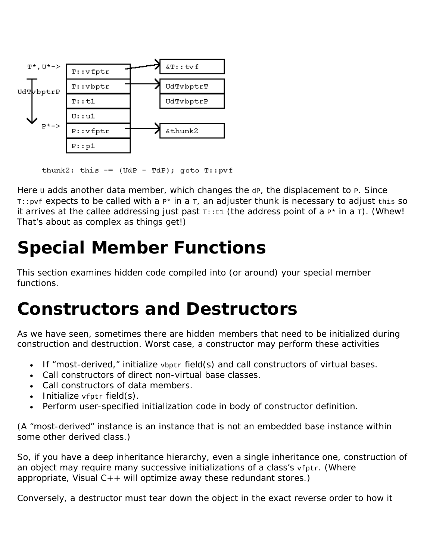

thunk2: this  $=$  (UdP - TdP); goto T::pvf

Here  $U$  adds another data member, which changes the  $dP$ , the displacement to P. Since  $T:opt$  expects to be called with a  $P*$  in a  $T<sub>i</sub>$  an adjuster thunk is necessary to adjust this so it arrives at the callee addressing just past  $T:zt1$  (the address point of a  $P*$  in a  $T$ ). (Whew! That's about as complex as things get!)

# **Special Member Functions**

This section examines hidden code compiled into (or around) your special member functions.

#### **Constructors and Destructors**

As we have seen, sometimes there are hidden members that need to be initialized during construction and destruction. Worst case, a constructor may perform these activities

- If "most-derived," initialize vbptr field(s) and call constructors of virtual bases.
- Call constructors of direct non-virtual base classes.
- Call constructors of data members.
- Initialize  $v$ fptr field $(s)$ .
- Perform user-specified initialization code in body of constructor definition.

(A "most-derived" instance is an instance that is not an embedded base instance within some other derived class.)

So, if you have a deep inheritance hierarchy, even a single inheritance one, construction of an object may require many successive initializations of a class's vfptr. (Where appropriate, Visual  $C_{++}$  will optimize away these redundant stores.)

Conversely, a destructor must tear down the object in the exact reverse order to how it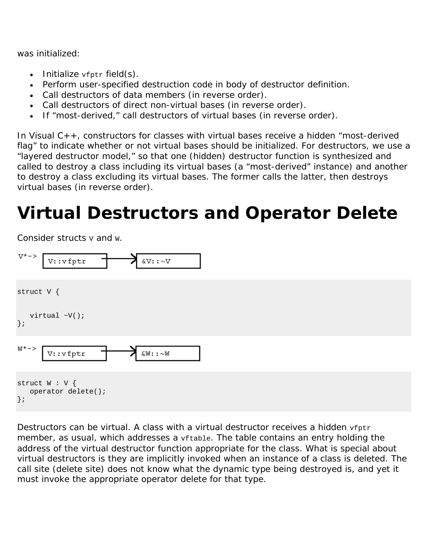was initialized:

- Initialize  $v$ fptr field $(s)$ .
- Perform user-specified destruction code in body of destructor definition.
- Call destructors of data members (in reverse order).
- Call destructors of direct non-virtual bases (in reverse order).
- If "most-derived," call destructors of virtual bases (in reverse order).

In Visual C++, constructors for classes with virtual bases receive a hidden "most-derived flag" to indicate whether or not virtual bases should be initialized. For destructors, we use a "layered destructor model," so that one (hidden) destructor function is synthesized and called to destroy a class *including* its virtual bases (a "most-derived" instance) and another to destroy a class *excluding* its virtual bases. The former calls the latter, then destroys virtual bases (in reverse order).

# **Virtual Destructors and Operator Delete**

Consider structs  $v$  and  $w$ .



Destructors can be virtual. A class with a virtual destructor receives a hidden  $v$ fptr member, as usual, which addresses a vftable. The table contains an entry holding the address of the virtual destructor function appropriate for the class. What is special about virtual destructors is they are implicitly invoked when an instance of a class is deleted. The call site (delete site) does not know what the dynamic type being destroyed is, and yet it must invoke the appropriate operator delete for that type.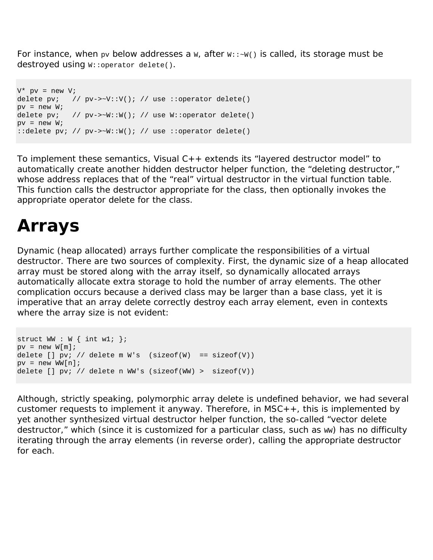For instance, when  $pv$  below addresses a  $W$ , after  $W:K \rightarrow W$  is called, its storage must be destroyed using  $W:$ : operator delete().

```
V^* pv = new V;
delete pv; // pv \rightarrow \neg V : V(); // use ::operator delete()
pv = new Widelete pv; // py->\sim W::W(); // use W::operator delete()
pv = new Wi::delete pv; // pv->~W::W(); // use ::operator delete()
```
To implement these semantics, Visual C++ extends its "layered destructor model" to automatically create another hidden destructor helper function, the "deleting destructor," whose address replaces that of the "real" virtual destructor in the virtual function table. This function calls the destructor appropriate for the class, then optionally invokes the appropriate operator delete for the class.

#### **Arrays**

Dynamic (heap allocated) arrays further complicate the responsibilities of a virtual destructor. There are two sources of complexity. First, the dynamic size of a heap allocated array must be stored along with the array itself, so dynamically allocated arrays automatically allocate extra storage to hold the number of array elements. The other complication occurs because a derived class may be larger than a base class, yet it is imperative that an array delete correctly destroy each array element, even in contexts where the array size is not evident:

```
struct WW : W \{ int w1; \};
pv = new W[m];delete [] pv; // delete m W's (sizeof(W) == sizeof(V))
pv = new WW[n];delete [] pv; // delete n WW's (sizeof(WW) > sizeof(V))
```
Although, strictly speaking, polymorphic array delete is undefined behavior, we had several customer requests to implement it anyway. Therefore, in  $MSC++$ , this is implemented by yet another synthesized virtual destructor helper function, the so-called "vector delete destructor," which (since it is customized for a particular class, such as ww) has no difficulty iterating through the array elements (in reverse order), calling the appropriate destructor for each.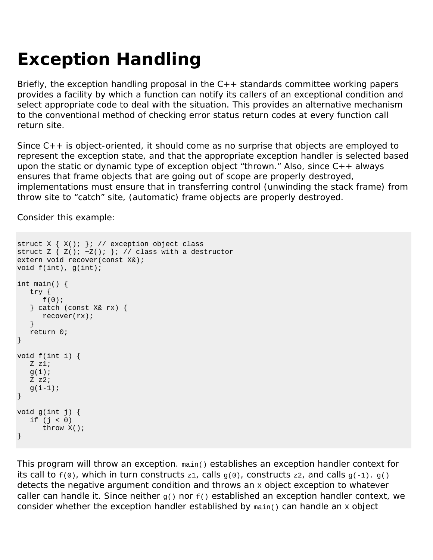# **Exception Handling**

Briefly, the exception handling proposal in the  $C_{++}$  standards committee working papers provides a facility by which a function can notify its callers of an exceptional condition and select appropriate code to deal with the situation. This provides an alternative mechanism to the conventional method of checking error status return codes at every function call return site.

Since  $C_{++}$  is object-oriented, it should come as no surprise that objects are employed to represent the exception state, and that the appropriate exception handler is selected based upon the static or dynamic type of exception object "thrown." Also, since  $C_{++}$  always ensures that frame objects that are going out of scope are properly destroyed, implementations must ensure that in transferring control (unwinding the stack frame) from throw site to "catch" site, (automatic) frame objects are properly destroyed.

Consider this example:

```
struct X \{ X() \colon \}; // exception object class
struct Z \{ Z() : \neg Z() : \} : // class with a destructorextern void recover(const X&); 
void f(int), g(int); 
int main() { 
  try { 
      f(0); 
    } catch (const X& rx) { 
      recover(rx); 
 } 
   return 0; 
} 
void f(int i) { 
   Z z1; 
  g(i);
  Z z2;
  q(i-1);} 
void g(int j) { 
  if (i < 0) throw X(); 
}
```
This program will throw an exception. main() establishes an exception handler context for its call to  $f(0)$ , which in turn constructs z1, calls  $g(0)$ , constructs z2, and calls  $g(-1)$ .  $g($ ) detects the negative argument condition and throws an x object exception to whatever caller can handle it. Since neither  $g()$  nor  $f()$  established an exception handler context, we consider whether the exception handler established by  $_{\text{main(}}$ ) can handle an x object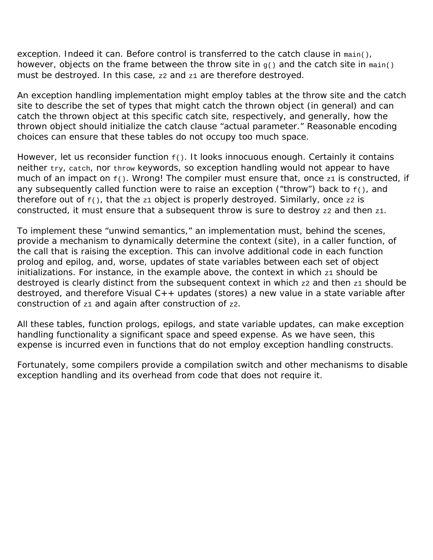exception. Indeed it can. Before control is transferred to the catch clause in main(), however, objects on the frame between the throw site in  $g()$  and the catch site in  $\text{main}()$ must be destroyed. In this case, z2 and z1 are therefore destroyed.

An exception handling implementation might employ tables at the throw site and the catch site to describe the set of types that might catch the thrown object (in general) and can catch the thrown object at this specific catch site, respectively, and generally, how the thrown object should initialize the catch clause "actual parameter." Reasonable encoding choices can ensure that these tables do not occupy too much space.

However, let us reconsider function  $f(x)$ . It looks innocuous enough. Certainly it contains neither try, catch, nor throw keywords, so exception handling would not appear to have much of an impact on  $f(x)$ . Wrong! The compiler must ensure that, once  $z1$  is constructed, if any subsequently called function were to raise an exception ("throw") back to  $f(x)$ , and therefore out of  $f()$ , that the z1 object is properly destroyed. Similarly, once z2 is constructed, it must ensure that a subsequent throw is sure to destroy  $z_2$  and then  $z_1$ .

To implement these "unwind semantics," an implementation must, behind the scenes, provide a mechanism to dynamically determine the context (site), in a caller function, of the call that is raising the exception. This can involve additional code in each function prolog and epilog, and, worse, updates of state variables between each set of object initializations. For instance, in the example above, the context in which  $z_1$  should be destroyed is clearly distinct from the subsequent context in which  $z_2$  and then  $z_1$  should be destroyed, and therefore Visual C++ updates (stores) a new value in a state variable after construction of  $z1$  and again after construction of  $z2$ .

All these tables, function prologs, epilogs, and state variable updates, can make exception handling functionality a significant space and speed expense. As we have seen, this expense is incurred even in functions that do not employ exception handling constructs.

Fortunately, some compilers provide a compilation switch and other mechanisms to disable exception handling and its overhead from code that does not require it.